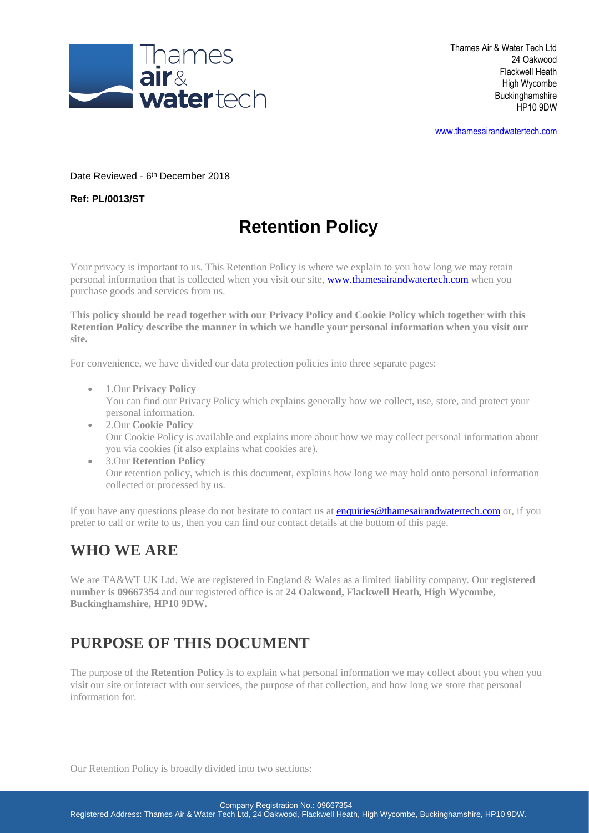

[www.thamesairandwatertech.com](http://www.thamesairandwatertech.com/)

Date Reviewed - 6<sup>th</sup> December 2018

**Ref: PL/0013/ST**

# **Retention Policy**

Your privacy is important to us. This Retention Policy is where we explain to you how long we may retain personal information that is collected when you visit our site[, www.thamesairandwatertech.com](http://www.thamesairandwatertech.com/) when you purchase goods and services from us.

**This policy should be read together with our Privacy Policy and Cookie Policy which together with this Retention Policy describe the manner in which we handle your personal information when you visit our site.**

For convenience, we have divided our data protection policies into three separate pages:

- 1.Our **Privacy Policy** You can find our Privacy Policy which explains generally how we collect, use, store, and protect your personal information.
- 2.Our **Cookie Policy** Our Cookie Policy is available and explains more about how we may collect personal information about you via cookies (it also explains what cookies are).
- 3.Our **Retention Policy** Our retention policy, which is this document, explains how long we may hold onto personal information collected or processed by us.

If you have any questions please do not hesitate to contact us at **enquiries@thamesairandwatertech.com** or, if you prefer to call or write to us, then you can find our contact details at the bottom of this page.

#### **WHO WE ARE**

We are TA&WT UK Ltd. We are registered in England & Wales as a limited liability company. Our **registered number is 09667354** and our registered office is at **24 Oakwood, Flackwell Heath, High Wycombe, Buckinghamshire, HP10 9DW.**

### **PURPOSE OF THIS DOCUMENT**

The purpose of the **Retention Policy** is to explain what personal information we may collect about you when you visit our site or interact with our services, the purpose of that collection, and how long we store that personal information for.

Our Retention Policy is broadly divided into two sections: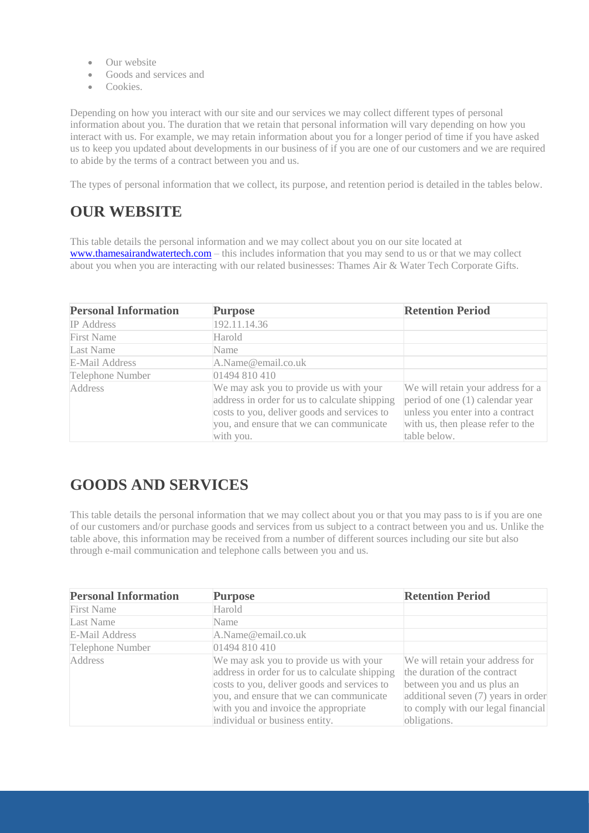- Our website
- Goods and services and
- Cookies.

Depending on how you interact with our site and our services we may collect different types of personal information about you. The duration that we retain that personal information will vary depending on how you interact with us. For example, we may retain information about you for a longer period of time if you have asked us to keep you updated about developments in our business of if you are one of our customers and we are required to abide by the terms of a contract between you and us.

The types of personal information that we collect, its purpose, and retention period is detailed in the tables below.

### **OUR WEBSITE**

This table details the personal information and we may collect about you on our site located at [www.thamesairandwatertech.com](http://www.thamesairandwatertech.com/) – this includes information that you may send to us or that we may collect about you when you are interacting with our related businesses: Thames Air & Water Tech Corporate Gifts.

| <b>Personal Information</b> | <b>Purpose</b>                                                                                                                                                                                 | <b>Retention Period</b>                                                                                                                                       |
|-----------------------------|------------------------------------------------------------------------------------------------------------------------------------------------------------------------------------------------|---------------------------------------------------------------------------------------------------------------------------------------------------------------|
| <b>IP</b> Address           | 192.11.14.36                                                                                                                                                                                   |                                                                                                                                                               |
| <b>First Name</b>           | Harold                                                                                                                                                                                         |                                                                                                                                                               |
| Last Name                   | Name                                                                                                                                                                                           |                                                                                                                                                               |
| <b>E-Mail Address</b>       | A.Name@email.co.uk                                                                                                                                                                             |                                                                                                                                                               |
| <b>Telephone Number</b>     | 01494 810 410                                                                                                                                                                                  |                                                                                                                                                               |
| <b>Address</b>              | We may ask you to provide us with your<br>address in order for us to calculate shipping<br>costs to you, deliver goods and services to<br>you, and ensure that we can communicate<br>with you. | We will retain your address for a<br>period of one (1) calendar year<br>unless you enter into a contract<br>with us, then please refer to the<br>table below. |

### **GOODS AND SERVICES**

This table details the personal information that we may collect about you or that you may pass to is if you are one of our customers and/or purchase goods and services from us subject to a contract between you and us. Unlike the table above, this information may be received from a number of different sources including our site but also through e-mail communication and telephone calls between you and us.

| <b>Personal Information</b> | <b>Purpose</b>                                                                                                                                                                                                                                              | <b>Retention Period</b>                                                                                                                                                                    |
|-----------------------------|-------------------------------------------------------------------------------------------------------------------------------------------------------------------------------------------------------------------------------------------------------------|--------------------------------------------------------------------------------------------------------------------------------------------------------------------------------------------|
| <b>First Name</b>           | Harold                                                                                                                                                                                                                                                      |                                                                                                                                                                                            |
| Last Name                   | Name                                                                                                                                                                                                                                                        |                                                                                                                                                                                            |
| E-Mail Address              | A.Name@email.co.uk                                                                                                                                                                                                                                          |                                                                                                                                                                                            |
| Telephone Number            | 01494 810 410                                                                                                                                                                                                                                               |                                                                                                                                                                                            |
| <b>Address</b>              | We may ask you to provide us with your<br>address in order for us to calculate shipping<br>costs to you, deliver goods and services to<br>you, and ensure that we can communicate<br>with you and invoice the appropriate<br>individual or business entity. | We will retain your address for<br>the duration of the contract<br>between you and us plus an<br>additional seven (7) years in order<br>to comply with our legal financial<br>obligations. |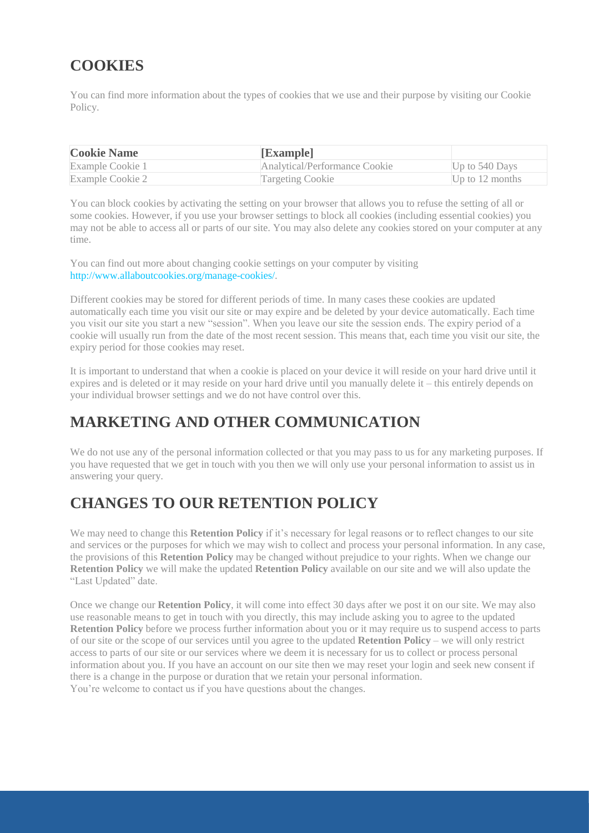### **COOKIES**

You can find more information about the types of cookies that we use and their purpose by visiting our Cookie Policy.

| <b>Cookie Name</b> | [Example]                     |                   |
|--------------------|-------------------------------|-------------------|
| Example Cookie 1   | Analytical/Performance Cookie | Up to $540$ Days  |
| Example Cookie 2   | <b>Targeting Cookie</b>       | Up to $12$ months |

You can block cookies by activating the setting on your browser that allows you to refuse the setting of all or some cookies. However, if you use your browser settings to block all cookies (including essential cookies) you may not be able to access all or parts of our site. You may also delete any cookies stored on your computer at any time.

You can find out more about changing cookie settings on your computer by visiting [http://www.allaboutcookies.org/manage-cookies/.](http://www.allaboutcookies.org/manage-cookies/)

Different cookies may be stored for different periods of time. In many cases these cookies are updated automatically each time you visit our site or may expire and be deleted by your device automatically. Each time you visit our site you start a new "session". When you leave our site the session ends. The expiry period of a cookie will usually run from the date of the most recent session. This means that, each time you visit our site, the expiry period for those cookies may reset.

It is important to understand that when a cookie is placed on your device it will reside on your hard drive until it expires and is deleted or it may reside on your hard drive until you manually delete it – this entirely depends on your individual browser settings and we do not have control over this.

### **MARKETING AND OTHER COMMUNICATION**

We do not use any of the personal information collected or that you may pass to us for any marketing purposes. If you have requested that we get in touch with you then we will only use your personal information to assist us in answering your query.

### **CHANGES TO OUR RETENTION POLICY**

We may need to change this **Retention Policy** if it's necessary for legal reasons or to reflect changes to our site and services or the purposes for which we may wish to collect and process your personal information. In any case, the provisions of this **Retention Policy** may be changed without prejudice to your rights. When we change our **Retention Policy** we will make the updated **Retention Policy** available on our site and we will also update the "Last Updated" date.

Once we change our **Retention Policy**, it will come into effect 30 days after we post it on our site. We may also use reasonable means to get in touch with you directly, this may include asking you to agree to the updated **Retention Policy** before we process further information about you or it may require us to suspend access to parts of our site or the scope of our services until you agree to the updated **Retention Policy** – we will only restrict access to parts of our site or our services where we deem it is necessary for us to collect or process personal information about you. If you have an account on our site then we may reset your login and seek new consent if there is a change in the purpose or duration that we retain your personal information. You're welcome to contact us if you have questions about the changes.